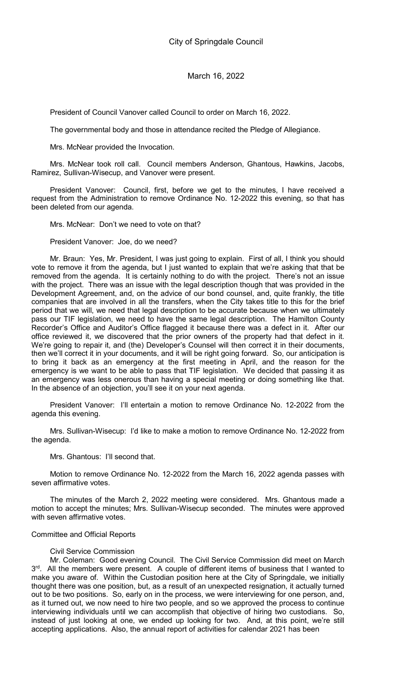President of Council Vanover called Council to order on March 16, 2022.

The governmental body and those in attendance recited the Pledge of Allegiance.

Mrs. McNear provided the Invocation.

Mrs. McNear took roll call. Council members Anderson, Ghantous, Hawkins, Jacobs, Ramirez, Sullivan-Wisecup, and Vanover were present.

President Vanover: Council, first, before we get to the minutes, I have received a request from the Administration to remove Ordinance No. 12-2022 this evening, so that has been deleted from our agenda.

Mrs. McNear: Don't we need to vote on that?

President Vanover: Joe, do we need?

Mr. Braun: Yes, Mr. President, I was just going to explain. First of all, I think you should vote to remove it from the agenda, but I just wanted to explain that we're asking that that be removed from the agenda. It is certainly nothing to do with the project. There's not an issue with the project. There was an issue with the legal description though that was provided in the Development Agreement, and, on the advice of our bond counsel, and, quite frankly, the title companies that are involved in all the transfers, when the City takes title to this for the brief period that we will, we need that legal description to be accurate because when we ultimately pass our TIF legislation, we need to have the same legal description. The Hamilton County Recorder's Office and Auditor's Office flagged it because there was a defect in it. After our office reviewed it, we discovered that the prior owners of the property had that defect in it. We're going to repair it, and (the) Developer's Counsel will then correct it in their documents, then we'll correct it in your documents, and it will be right going forward. So, our anticipation is to bring it back as an emergency at the first meeting in April, and the reason for the emergency is we want to be able to pass that TIF legislation. We decided that passing it as an emergency was less onerous than having a special meeting or doing something like that. In the absence of an objection, you'll see it on your next agenda.

President Vanover: I'll entertain a motion to remove Ordinance No. 12-2022 from the agenda this evening.

Mrs. Sullivan-Wisecup: I'd like to make a motion to remove Ordinance No. 12-2022 from the agenda.

Mrs. Ghantous: I'll second that.

Motion to remove Ordinance No. 12-2022 from the March 16, 2022 agenda passes with seven affirmative votes.

The minutes of the March 2, 2022 meeting were considered. Mrs. Ghantous made a motion to accept the minutes; Mrs. Sullivan-Wisecup seconded. The minutes were approved with seven affirmative votes.

## Committee and Official Reports

### Civil Service Commission

Mr. Coleman: Good evening Council. The Civil Service Commission did meet on March 3<sup>rd</sup>. All the members were present. A couple of different items of business that I wanted to make you aware of. Within the Custodian position here at the City of Springdale, we initially thought there was one position, but, as a result of an unexpected resignation, it actually turned out to be two positions. So, early on in the process, we were interviewing for one person, and, as it turned out, we now need to hire two people, and so we approved the process to continue interviewing individuals until we can accomplish that objective of hiring two custodians. So, instead of just looking at one, we ended up looking for two. And, at this point, we're still accepting applications. Also, the annual report of activities for calendar 2021 has been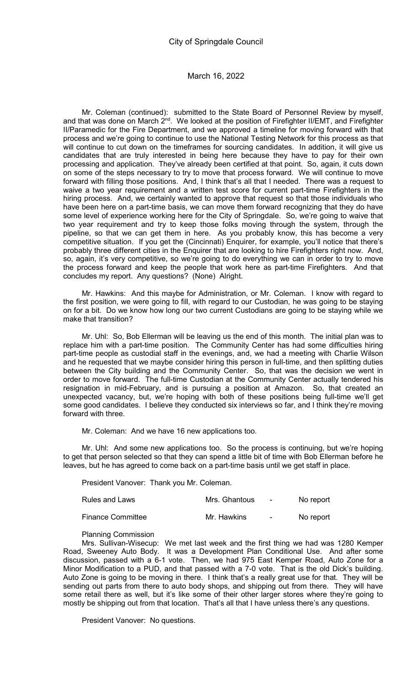Mr. Coleman (continued): submitted to the State Board of Personnel Review by myself, and that was done on March 2<sup>nd</sup>. We looked at the position of Firefighter II/EMT, and Firefighter II/Paramedic for the Fire Department, and we approved a timeline for moving forward with that process and we're going to continue to use the National Testing Network for this process as that will continue to cut down on the timeframes for sourcing candidates. In addition, it will give us candidates that are truly interested in being here because they have to pay for their own processing and application. They've already been certified at that point. So, again, it cuts down on some of the steps necessary to try to move that process forward. We will continue to move forward with filling those positions. And, I think that's all that I needed. There was a request to waive a two year requirement and a written test score for current part-time Firefighters in the hiring process. And, we certainly wanted to approve that request so that those individuals who have been here on a part-time basis, we can move them forward recognizing that they do have some level of experience working here for the City of Springdale. So, we're going to waive that two year requirement and try to keep those folks moving through the system, through the pipeline, so that we can get them in here. As you probably know, this has become a very competitive situation. If you get the (Cincinnati) Enquirer, for example, you'll notice that there's probably three different cities in the Enquirer that are looking to hire Firefighters right now. And, so, again, it's very competitive, so we're going to do everything we can in order to try to move the process forward and keep the people that work here as part-time Firefighters. And that concludes my report. Any questions? (None) Alright.

Mr. Hawkins: And this maybe for Administration, or Mr. Coleman. I know with regard to the first position, we were going to fill, with regard to our Custodian, he was going to be staying on for a bit. Do we know how long our two current Custodians are going to be staying while we make that transition?

Mr. Uhl: So, Bob Ellerman will be leaving us the end of this month. The initial plan was to replace him with a part-time position. The Community Center has had some difficulties hiring part-time people as custodial staff in the evenings, and, we had a meeting with Charlie Wilson and he requested that we maybe consider hiring this person in full-time, and then splitting duties between the City building and the Community Center. So, that was the decision we went in order to move forward. The full-time Custodian at the Community Center actually tendered his resignation in mid-February, and is pursuing a position at Amazon. So, that created an unexpected vacancy, but, we're hoping with both of these positions being full-time we'll get some good candidates. I believe they conducted six interviews so far, and I think they're moving forward with three.

Mr. Coleman: And we have 16 new applications too.

Mr. Uhl: And some new applications too. So the process is continuing, but we're hoping to get that person selected so that they can spend a little bit of time with Bob Ellerman before he leaves, but he has agreed to come back on a part-time basis until we get staff in place.

President Vanover: Thank you Mr. Coleman.

| <b>Rules and Laws</b>    | Mrs. Ghantous | $\sim$ | No report |
|--------------------------|---------------|--------|-----------|
| <b>Finance Committee</b> | Mr. Hawkins   |        | No report |

Planning Commission

Mrs. Sullivan-Wisecup: We met last week and the first thing we had was 1280 Kemper Road, Sweeney Auto Body. It was a Development Plan Conditional Use. And after some discussion, passed with a 6-1 vote. Then, we had 975 East Kemper Road, Auto Zone for a Minor Modification to a PUD, and that passed with a 7-0 vote. That is the old Dick's building. Auto Zone is going to be moving in there. I think that's a really great use for that. They will be sending out parts from there to auto body shops, and shipping out from there. They will have some retail there as well, but it's like some of their other larger stores where they're going to mostly be shipping out from that location. That's all that I have unless there's any questions.

President Vanover: No questions.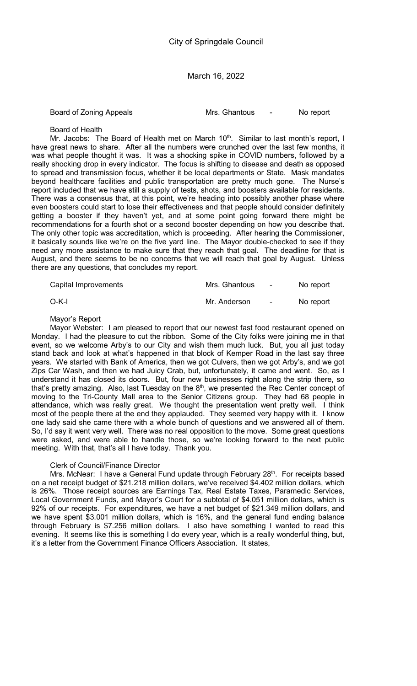Board of Zoning Appeals **Mrs.** Ghantous **-** No report

Board of Health

Mr. Jacobs: The Board of Health met on March 10<sup>th</sup>. Similar to last month's report, I have great news to share. After all the numbers were crunched over the last few months, it was what people thought it was. It was a shocking spike in COVID numbers, followed by a really shocking drop in every indicator. The focus is shifting to disease and death as opposed to spread and transmission focus, whether it be local departments or State. Mask mandates beyond healthcare facilities and public transportation are pretty much gone. The Nurse's report included that we have still a supply of tests, shots, and boosters available for residents. There was a consensus that, at this point, we're heading into possibly another phase where even boosters could start to lose their effectiveness and that people should consider definitely getting a booster if they haven't yet, and at some point going forward there might be recommendations for a fourth shot or a second booster depending on how you describe that. The only other topic was accreditation, which is proceeding. After hearing the Commissioner, it basically sounds like we're on the five yard line. The Mayor double-checked to see if they need any more assistance to make sure that they reach that goal. The deadline for that is August, and there seems to be no concerns that we will reach that goal by August. Unless there are any questions, that concludes my report.

| Capital Improvements | Mrs. Ghantous | <b>Contract Contract State</b> | No report |
|----------------------|---------------|--------------------------------|-----------|
| O-K-I                | Mr. Anderson  | <b>Contract Contract</b>       | No report |

# Mayor's Report

Mayor Webster: I am pleased to report that our newest fast food restaurant opened on Monday. I had the pleasure to cut the ribbon. Some of the City folks were joining me in that event, so we welcome Arby's to our City and wish them much luck. But, you all just today stand back and look at what's happened in that block of Kemper Road in the last say three years. We started with Bank of America, then we got Culvers, then we got Arby's, and we got Zips Car Wash, and then we had Juicy Crab, but, unfortunately, it came and went. So, as I understand it has closed its doors. But, four new businesses right along the strip there, so that's pretty amazing. Also, last Tuesday on the 8<sup>th</sup>, we presented the Rec Center concept of moving to the Tri-County Mall area to the Senior Citizens group. They had 68 people in attendance, which was really great. We thought the presentation went pretty well. I think most of the people there at the end they applauded. They seemed very happy with it. I know one lady said she came there with a whole bunch of questions and we answered all of them. So, I'd say it went very well. There was no real opposition to the move. Some great questions were asked, and were able to handle those, so we're looking forward to the next public meeting. With that, that's all I have today. Thank you.

# Clerk of Council/Finance Director

Mrs. McNear: I have a General Fund update through February 28<sup>th</sup>. For receipts based on a net receipt budget of \$21.218 million dollars, we've received \$4.402 million dollars, which is 26%. Those receipt sources are Earnings Tax, Real Estate Taxes, Paramedic Services, Local Government Funds, and Mayor's Court for a subtotal of \$4.051 million dollars, which is 92% of our receipts. For expenditures, we have a net budget of \$21.349 million dollars, and we have spent \$3.001 million dollars, which is 16%, and the general fund ending balance through February is \$7.256 million dollars. I also have something I wanted to read this evening. It seems like this is something I do every year, which is a really wonderful thing, but, it's a letter from the Government Finance Officers Association. It states,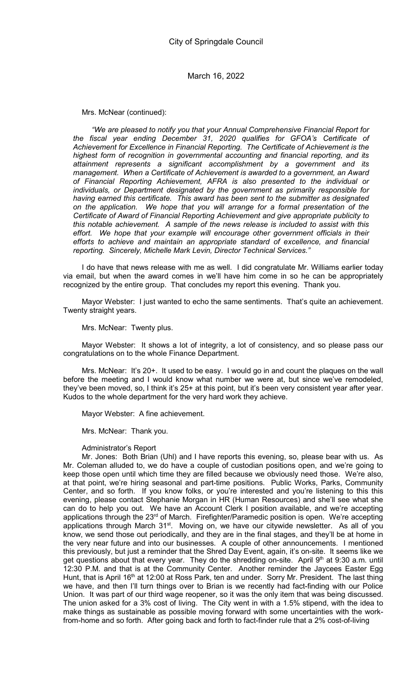Mrs. McNear (continued):

"We are pleased to notify you that your Annual Comprehensive Financial Report for the fiscal year ending December 31, 2020 qualifies for GFOA's Certificate of Achievement for Excellence in Financial Reporting. The Certificate of Achievement is the highest form of recognition in governmental accounting and financial reporting, and its attainment represents a significant accomplishment by a government and its management. When a Certificate of Achievement is awarded to a government, an Award of Financial Reporting Achievement, AFRA is also presented to the individual or individuals, or Department designated by the government as primarily responsible for having earned this certificate. This award has been sent to the submitter as designated on the application. We hope that you will arrange for a formal presentation of the Certificate of Award of Financial Reporting Achievement and give appropriate publicity to this notable achievement. A sample of the news release is included to assist with this effort. We hope that your example will encourage other government officials in their efforts to achieve and maintain an appropriate standard of excellence, and financial reporting. Sincerely, Michelle Mark Levin, Director Technical Services."

I do have that news release with me as well. I did congratulate Mr. Williams earlier today via email, but when the award comes in we'll have him come in so he can be appropriately recognized by the entire group. That concludes my report this evening. Thank you.

Mayor Webster: I just wanted to echo the same sentiments. That's quite an achievement. Twenty straight years.

Mrs. McNear: Twenty plus.

Mayor Webster: It shows a lot of integrity, a lot of consistency, and so please pass our congratulations on to the whole Finance Department.

Mrs. McNear: It's 20+. It used to be easy. I would go in and count the plaques on the wall before the meeting and I would know what number we were at, but since we've remodeled, they've been moved, so, I think it's 25+ at this point, but it's been very consistent year after year. Kudos to the whole department for the very hard work they achieve.

Mayor Webster: A fine achievement.

Mrs. McNear: Thank you.

Administrator's Report

Mr. Jones: Both Brian (Uhl) and I have reports this evening, so, please bear with us. As Mr. Coleman alluded to, we do have a couple of custodian positions open, and we're going to keep those open until which time they are filled because we obviously need those. We're also, at that point, we're hiring seasonal and part-time positions. Public Works, Parks, Community Center, and so forth. If you know folks, or you're interested and you're listening to this this evening, please contact Stephanie Morgan in HR (Human Resources) and she'll see what she can do to help you out. We have an Account Clerk I position available, and we're accepting applications through the 23<sup>rd</sup> of March. Firefighter/Paramedic position is open. We're accepting applications through March 31<sup>st</sup>. Moving on, we have our citywide newsletter. As all of you know, we send those out periodically, and they are in the final stages, and they'll be at home in the very near future and into our businesses. A couple of other announcements. I mentioned this previously, but just a reminder that the Shred Day Event, again, it's on-site. It seems like we get questions about that every year. They do the shredding on-site. April 9th at 9:30 a.m. until 12:30 P.M. and that is at the Community Center. Another reminder the Jaycees Easter Egg Hunt, that is April 16<sup>th</sup> at 12:00 at Ross Park, ten and under. Sorry Mr. President. The last thing we have, and then I'll turn things over to Brian is we recently had fact-finding with our Police Union. It was part of our third wage reopener, so it was the only item that was being discussed. The union asked for a 3% cost of living. The City went in with a 1.5% stipend, with the idea to make things as sustainable as possible moving forward with some uncertainties with the workfrom-home and so forth. After going back and forth to fact-finder rule that a 2% cost-of-living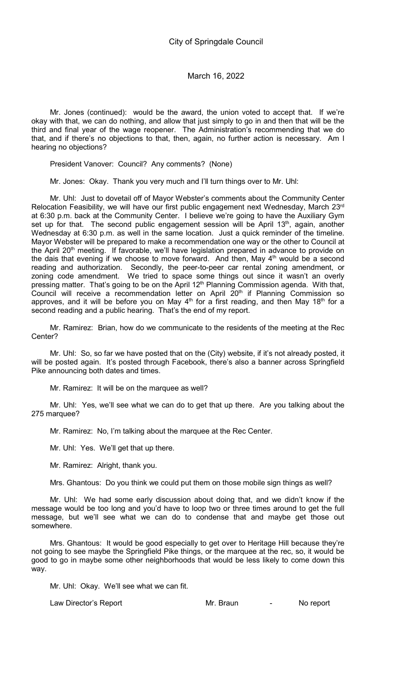Mr. Jones (continued): would be the award, the union voted to accept that. If we're okay with that, we can do nothing, and allow that just simply to go in and then that will be the third and final year of the wage reopener. The Administration's recommending that we do that, and if there's no objections to that, then, again, no further action is necessary. Am I hearing no objections?

President Vanover: Council? Any comments? (None)

Mr. Jones: Okay. Thank you very much and I'll turn things over to Mr. Uhl:

Mr. Uhl: Just to dovetail off of Mayor Webster's comments about the Community Center Relocation Feasibility, we will have our first public engagement next Wednesday, March 23rd at 6:30 p.m. back at the Community Center. I believe we're going to have the Auxiliary Gym set up for that. The second public engagement session will be April 13<sup>th</sup>, again, another Wednesday at 6:30 p.m. as well in the same location. Just a quick reminder of the timeline. Mayor Webster will be prepared to make a recommendation one way or the other to Council at the April 20<sup>th</sup> meeting. If favorable, we'll have legislation prepared in advance to provide on the dais that evening if we choose to move forward. And then, May  $4<sup>th</sup>$  would be a second reading and authorization. Secondly, the peer-to-peer car rental zoning amendment, or zoning code amendment. We tried to space some things out since it wasn't an overly pressing matter. That's going to be on the April 12<sup>th</sup> Planning Commission agenda. With that, Council will receive a recommendation letter on April  $20<sup>th</sup>$  if Planning Commission so approves, and it will be before you on May  $4<sup>th</sup>$  for a first reading, and then May 18<sup>th</sup> for a second reading and a public hearing. That's the end of my report.

Mr. Ramirez: Brian, how do we communicate to the residents of the meeting at the Rec Center?

Mr. Uhl: So, so far we have posted that on the (City) website, if it's not already posted, it will be posted again. It's posted through Facebook, there's also a banner across Springfield Pike announcing both dates and times.

Mr. Ramirez: It will be on the marquee as well?

Mr. Uhl: Yes, we'll see what we can do to get that up there. Are you talking about the 275 marquee?

Mr. Ramirez: No, I'm talking about the marquee at the Rec Center.

Mr. Uhl: Yes. We'll get that up there.

Mr. Ramirez: Alright, thank you.

Mrs. Ghantous: Do you think we could put them on those mobile sign things as well?

Mr. Uhl: We had some early discussion about doing that, and we didn't know if the message would be too long and you'd have to loop two or three times around to get the full message, but we'll see what we can do to condense that and maybe get those out somewhere.

Mrs. Ghantous: It would be good especially to get over to Heritage Hill because they're not going to see maybe the Springfield Pike things, or the marquee at the rec, so, it would be good to go in maybe some other neighborhoods that would be less likely to come down this way.

Mr. Uhl: Okay. We'll see what we can fit.

Law Director's Report **Access 10 Mr.** Braun Francisco Mr. Braun Access 2014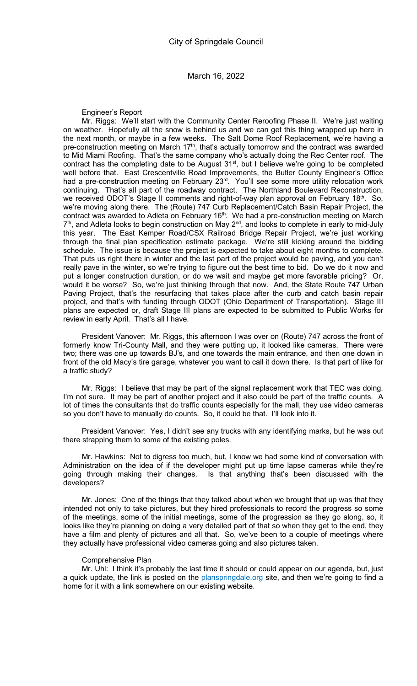Engineer's Report

Mr. Riggs: We'll start with the Community Center Reroofing Phase II. We're just waiting on weather. Hopefully all the snow is behind us and we can get this thing wrapped up here in the next month, or maybe in a few weeks. The Salt Dome Roof Replacement, we're having a pre-construction meeting on March  $17<sup>th</sup>$ , that's actually tomorrow and the contract was awarded to Mid Miami Roofing. That's the same company who's actually doing the Rec Center roof. The contract has the completing date to be August 31<sup>st</sup>, but I believe we're going to be completed well before that. East Crescentville Road Improvements, the Butler County Engineer's Office had a pre-construction meeting on February 23<sup>rd</sup>. You'll see some more utility relocation work continuing. That's all part of the roadway contract. The Northland Boulevard Reconstruction, we received ODOT's Stage II comments and right-of-way plan approval on February 18<sup>th</sup>. So, we're moving along there. The (Route) 747 Curb Replacement/Catch Basin Repair Project, the contract was awarded to Adleta on February 16<sup>th</sup>. We had a pre-construction meeting on March 7<sup>th</sup>, and Adleta looks to begin construction on May 2<sup>nd</sup>, and looks to complete in early to mid-July this year. The East Kemper Road/CSX Railroad Bridge Repair Project, we're just working through the final plan specification estimate package. We're still kicking around the bidding schedule. The issue is because the project is expected to take about eight months to complete. That puts us right there in winter and the last part of the project would be paving, and you can't really pave in the winter, so we're trying to figure out the best time to bid. Do we do it now and put a longer construction duration, or do we wait and maybe get more favorable pricing? Or, would it be worse? So, we're just thinking through that now. And, the State Route 747 Urban Paving Project, that's the resurfacing that takes place after the curb and catch basin repair project, and that's with funding through ODOT (Ohio Department of Transportation). Stage III plans are expected or, draft Stage III plans are expected to be submitted to Public Works for review in early April. That's all I have.

President Vanover: Mr. Riggs, this afternoon I was over on (Route) 747 across the front of formerly know Tri-County Mall, and they were putting up, it looked like cameras. There were two; there was one up towards BJ's, and one towards the main entrance, and then one down in front of the old Macy's tire garage, whatever you want to call it down there. Is that part of like for a traffic study?

Mr. Riggs: I believe that may be part of the signal replacement work that TEC was doing. I'm not sure. It may be part of another project and it also could be part of the traffic counts. A lot of times the consultants that do traffic counts especially for the mall, they use video cameras so you don't have to manually do counts. So, it could be that. I'll look into it.

President Vanover: Yes, I didn't see any trucks with any identifying marks, but he was out there strapping them to some of the existing poles.

Mr. Hawkins: Not to digress too much, but, I know we had some kind of conversation with Administration on the idea of if the developer might put up time lapse cameras while they're going through making their changes. Is that anything that's been discussed with the developers?

Mr. Jones: One of the things that they talked about when we brought that up was that they intended not only to take pictures, but they hired professionals to record the progress so some of the meetings, some of the initial meetings, some of the progression as they go along, so, it looks like they're planning on doing a very detailed part of that so when they get to the end, they have a film and plenty of pictures and all that. So, we've been to a couple of meetings where they actually have professional video cameras going and also pictures taken.

### Comprehensive Plan

Mr. Uhl: I think it's probably the last time it should or could appear on our agenda, but, just a quick update, the link is posted on the planspringdale.org site, and then we're going to find a home for it with a link somewhere on our existing website.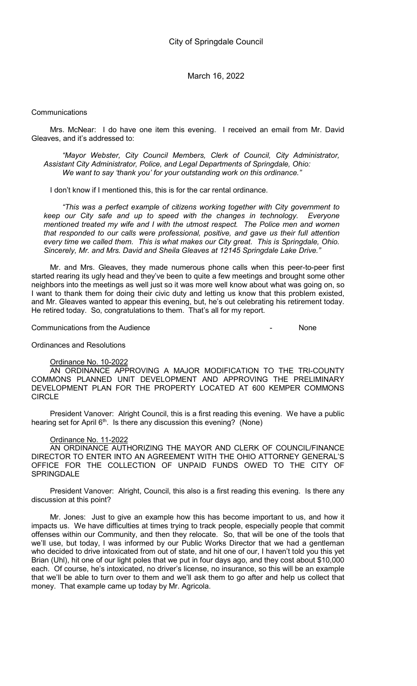### **Communications**

Mrs. McNear: I do have one item this evening. I received an email from Mr. David Gleaves, and it's addressed to:

"Mayor Webster, City Council Members, Clerk of Council, City Administrator, Assistant City Administrator, Police, and Legal Departments of Springdale, Ohio: We want to say 'thank you' for your outstanding work on this ordinance."

I don't know if I mentioned this, this is for the car rental ordinance.

"This was a perfect example of citizens working together with City government to keep our City safe and up to speed with the changes in technology. Everyone mentioned treated my wife and I with the utmost respect. The Police men and women that responded to our calls were professional, positive, and gave us their full attention every time we called them. This is what makes our City great. This is Springdale, Ohio. Sincerely, Mr. and Mrs. David and Sheila Gleaves at 12145 Springdale Lake Drive.'

Mr. and Mrs. Gleaves, they made numerous phone calls when this peer-to-peer first started rearing its ugly head and they've been to quite a few meetings and brought some other neighbors into the meetings as well just so it was more well know about what was going on, so I want to thank them for doing their civic duty and letting us know that this problem existed, and Mr. Gleaves wanted to appear this evening, but, he's out celebrating his retirement today. He retired today. So, congratulations to them. That's all for my report.

Communications from the Audience - None

Ordinances and Resolutions

### Ordinance No. 10-2022

AN ORDINANCE APPROVING A MAJOR MODIFICATION TO THE TRI-COUNTY COMMONS PLANNED UNIT DEVELOPMENT AND APPROVING THE PRELIMINARY DEVELOPMENT PLAN FOR THE PROPERTY LOCATED AT 600 KEMPER COMMONS CIRCLE

President Vanover: Alright Council, this is a first reading this evening. We have a public hearing set for April  $6<sup>th</sup>$ . Is there any discussion this evening? (None)

# Ordinance No. 11-2022

AN ORDINANCE AUTHORIZING THE MAYOR AND CLERK OF COUNCIL/FINANCE DIRECTOR TO ENTER INTO AN AGREEMENT WITH THE OHIO ATTORNEY GENERAL'S OFFICE FOR THE COLLECTION OF UNPAID FUNDS OWED TO THE CITY OF **SPRINGDALE** 

President Vanover: Alright, Council, this also is a first reading this evening. Is there any discussion at this point?

Mr. Jones: Just to give an example how this has become important to us, and how it impacts us. We have difficulties at times trying to track people, especially people that commit offenses within our Community, and then they relocate. So, that will be one of the tools that we'll use, but today, I was informed by our Public Works Director that we had a gentleman who decided to drive intoxicated from out of state, and hit one of our, I haven't told you this yet Brian (Uhl), hit one of our light poles that we put in four days ago, and they cost about \$10,000 each. Of course, he's intoxicated, no driver's license, no insurance, so this will be an example that we'll be able to turn over to them and we'll ask them to go after and help us collect that money. That example came up today by Mr. Agricola.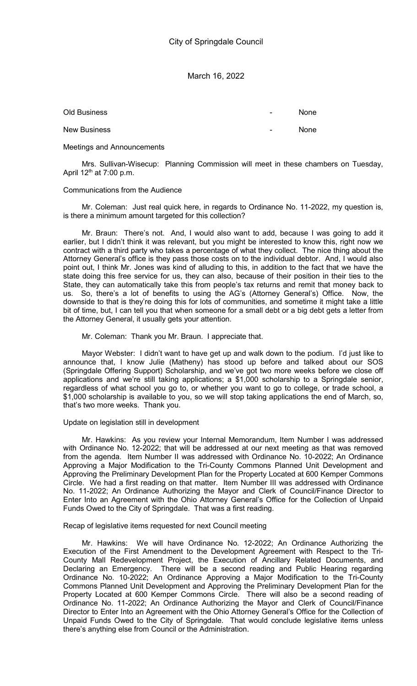Old Business and the set of the set of the set of the set of the set of the set of the set of the set of the set of the set of the set of the set of the set of the set of the set of the set of the set of the set of the set New Business **New Business** - None

Meetings and Announcements

Mrs. Sullivan-Wisecup: Planning Commission will meet in these chambers on Tuesday, April  $12<sup>th</sup>$  at 7:00 p.m.

# Communications from the Audience

Mr. Coleman: Just real quick here, in regards to Ordinance No. 11-2022, my question is, is there a minimum amount targeted for this collection?

Mr. Braun: There's not. And, I would also want to add, because I was going to add it earlier, but I didn't think it was relevant, but you might be interested to know this, right now we contract with a third party who takes a percentage of what they collect. The nice thing about the Attorney General's office is they pass those costs on to the individual debtor. And, I would also point out, I think Mr. Jones was kind of alluding to this, in addition to the fact that we have the state doing this free service for us, they can also, because of their position in their ties to the State, they can automatically take this from people's tax returns and remit that money back to us. So, there's a lot of benefits to using the AG's (Attorney General's) Office. Now, the downside to that is they're doing this for lots of communities, and sometime it might take a little bit of time, but, I can tell you that when someone for a small debt or a big debt gets a letter from the Attorney General, it usually gets your attention.

Mr. Coleman: Thank you Mr. Braun. I appreciate that.

Mayor Webster: I didn't want to have get up and walk down to the podium. I'd just like to announce that, I know Julie (Matheny) has stood up before and talked about our SOS (Springdale Offering Support) Scholarship, and we've got two more weeks before we close off applications and we're still taking applications; a \$1,000 scholarship to a Springdale senior, regardless of what school you go to, or whether you want to go to college, or trade school, a \$1,000 scholarship is available to you, so we will stop taking applications the end of March, so, that's two more weeks. Thank you.

### Update on legislation still in development

Mr. Hawkins: As you review your Internal Memorandum, Item Number I was addressed with Ordinance No. 12-2022; that will be addressed at our next meeting as that was removed from the agenda. Item Number II was addressed with Ordinance No. 10-2022; An Ordinance Approving a Major Modification to the Tri-County Commons Planned Unit Development and Approving the Preliminary Development Plan for the Property Located at 600 Kemper Commons Circle. We had a first reading on that matter. Item Number III was addressed with Ordinance No. 11-2022; An Ordinance Authorizing the Mayor and Clerk of Council/Finance Director to Enter Into an Agreement with the Ohio Attorney General's Office for the Collection of Unpaid Funds Owed to the City of Springdale. That was a first reading.

Recap of legislative items requested for next Council meeting

Mr. Hawkins: We will have Ordinance No. 12-2022; An Ordinance Authorizing the Execution of the First Amendment to the Development Agreement with Respect to the Tri-County Mall Redevelopment Project, the Execution of Ancillary Related Documents, and Declaring an Emergency. There will be a second reading and Public Hearing regarding Ordinance No. 10-2022; An Ordinance Approving a Major Modification to the Tri-County Commons Planned Unit Development and Approving the Preliminary Development Plan for the Property Located at 600 Kemper Commons Circle. There will also be a second reading of Ordinance No. 11-2022; An Ordinance Authorizing the Mayor and Clerk of Council/Finance Director to Enter Into an Agreement with the Ohio Attorney General's Office for the Collection of Unpaid Funds Owed to the City of Springdale. That would conclude legislative items unless there's anything else from Council or the Administration.